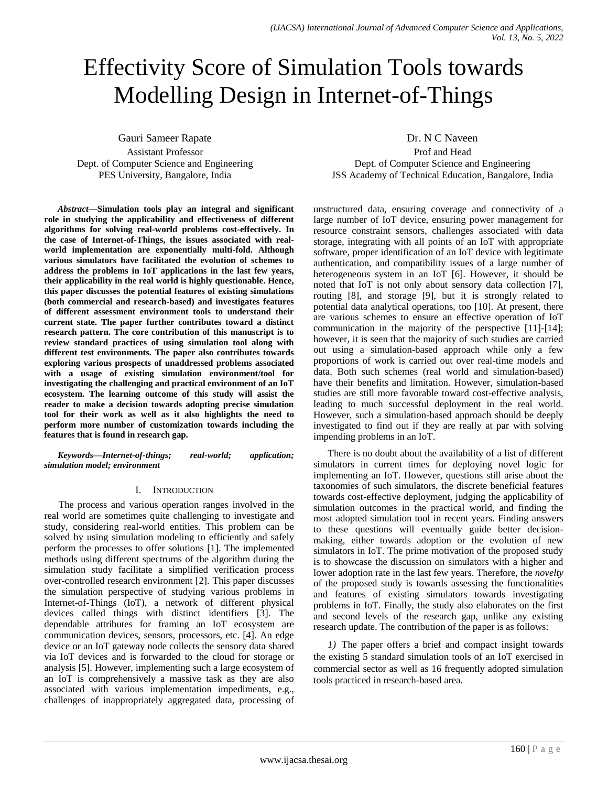# Effectivity Score of Simulation Tools towards Modelling Design in Internet-of-Things

Gauri Sameer Rapate Assistant Professor Dept. of Computer Science and Engineering PES University, Bangalore, India

*Abstract***—Simulation tools play an integral and significant role in studying the applicability and effectiveness of different algorithms for solving real-world problems cost-effectively. In the case of Internet-of-Things, the issues associated with realworld implementation are exponentially multi-fold. Although various simulators have facilitated the evolution of schemes to address the problems in IoT applications in the last few years, their applicability in the real world is highly questionable. Hence, this paper discusses the potential features of existing simulations (both commercial and research-based) and investigates features of different assessment environment tools to understand their current state. The paper further contributes toward a distinct research pattern. The core contribution of this manuscript is to review standard practices of using simulation tool along with different test environments. The paper also contributes towards exploring various prospects of unaddressed problems associated with a usage of existing simulation environment/tool for investigating the challenging and practical environment of an IoT ecosystem. The learning outcome of this study will assist the reader to make a decision towards adopting precise simulation tool for their work as well as it also highlights the need to perform more number of customization towards including the features that is found in research gap.**

*Keywords—Internet-of-things; real-world; application; simulation model; environment*

#### I. INTRODUCTION

The process and various operation ranges involved in the real world are sometimes quite challenging to investigate and study, considering real-world entities. This problem can be solved by using simulation modeling to efficiently and safely perform the processes to offer solutions [1]. The implemented methods using different spectrums of the algorithm during the simulation study facilitate a simplified verification process over-controlled research environment [2]. This paper discusses the simulation perspective of studying various problems in Internet-of-Things (IoT), a network of different physical devices called things with distinct identifiers [3]. The dependable attributes for framing an IoT ecosystem are communication devices, sensors, processors, etc. [4]. An edge device or an IoT gateway node collects the sensory data shared via IoT devices and is forwarded to the cloud for storage or analysis [5]. However, implementing such a large ecosystem of an IoT is comprehensively a massive task as they are also associated with various implementation impediments, e.g., challenges of inappropriately aggregated data, processing of Dr. N C Naveen

Prof and Head Dept. of Computer Science and Engineering JSS Academy of Technical Education, Bangalore, India

unstructured data, ensuring coverage and connectivity of a large number of IoT device, ensuring power management for resource constraint sensors, challenges associated with data storage, integrating with all points of an IoT with appropriate software, proper identification of an IoT device with legitimate authentication, and compatibility issues of a large number of heterogeneous system in an IoT [6]. However, it should be noted that IoT is not only about sensory data collection [7], routing [8], and storage [9], but it is strongly related to potential data analytical operations, too [10]. At present, there are various schemes to ensure an effective operation of IoT communication in the majority of the perspective [11]-[14]; however, it is seen that the majority of such studies are carried out using a simulation-based approach while only a few proportions of work is carried out over real-time models and data. Both such schemes (real world and simulation-based) have their benefits and limitation. However, simulation-based studies are still more favorable toward cost-effective analysis, leading to much successful deployment in the real world. However, such a simulation-based approach should be deeply investigated to find out if they are really at par with solving impending problems in an IoT.

There is no doubt about the availability of a list of different simulators in current times for deploying novel logic for implementing an IoT. However, questions still arise about the taxonomies of such simulators, the discrete beneficial features towards cost-effective deployment, judging the applicability of simulation outcomes in the practical world, and finding the most adopted simulation tool in recent years. Finding answers to these questions will eventually guide better decisionmaking, either towards adoption or the evolution of new simulators in IoT. The prime motivation of the proposed study is to showcase the discussion on simulators with a higher and lower adoption rate in the last few years. Therefore, the *novelty* of the proposed study is towards assessing the functionalities and features of existing simulators towards investigating problems in IoT. Finally, the study also elaborates on the first and second levels of the research gap, unlike any existing research update. The contribution of the paper is as follows:

*1)* The paper offers a brief and compact insight towards the existing 5 standard simulation tools of an IoT exercised in commercial sector as well as 16 frequently adopted simulation tools practiced in research-based area.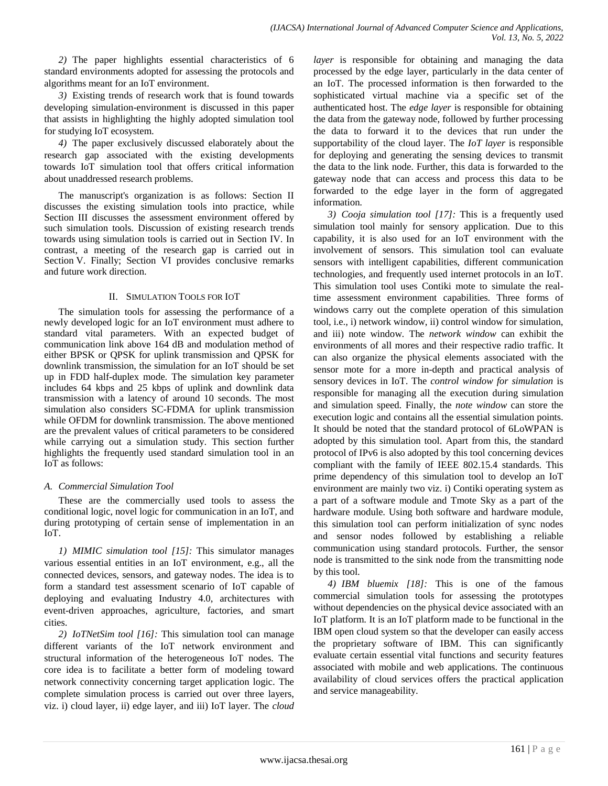*2)* The paper highlights essential characteristics of 6 standard environments adopted for assessing the protocols and algorithms meant for an IoT environment.

*3)* Existing trends of research work that is found towards developing simulation-environment is discussed in this paper that assists in highlighting the highly adopted simulation tool for studying IoT ecosystem.

*4)* The paper exclusively discussed elaborately about the research gap associated with the existing developments towards IoT simulation tool that offers critical information about unaddressed research problems.

The manuscript's organization is as follows: Section II discusses the existing simulation tools into practice, while Section III discusses the assessment environment offered by such simulation tools. Discussion of existing research trends towards using simulation tools is carried out in Section IV. In contrast, a meeting of the research gap is carried out in Section V. Finally; Section VI provides conclusive remarks and future work direction.

### II. SIMULATION TOOLS FOR IOT

The simulation tools for assessing the performance of a newly developed logic for an IoT environment must adhere to standard vital parameters. With an expected budget of communication link above 164 dB and modulation method of either BPSK or QPSK for uplink transmission and QPSK for downlink transmission, the simulation for an IoT should be set up in FDD half-duplex mode. The simulation key parameter includes 64 kbps and 25 kbps of uplink and downlink data transmission with a latency of around 10 seconds. The most simulation also considers SC-FDMA for uplink transmission while OFDM for downlink transmission. The above mentioned are the prevalent values of critical parameters to be considered while carrying out a simulation study. This section further highlights the frequently used standard simulation tool in an IoT as follows:

## *A. Commercial Simulation Tool*

These are the commercially used tools to assess the conditional logic, novel logic for communication in an IoT, and during prototyping of certain sense of implementation in an IoT.

*1) MIMIC simulation tool [15]:* This simulator manages various essential entities in an IoT environment, e.g., all the connected devices, sensors, and gateway nodes. The idea is to form a standard test assessment scenario of IoT capable of deploying and evaluating Industry 4.0, architectures with event-driven approaches, agriculture, factories, and smart cities.

*2) IoTNetSim tool [16]:* This simulation tool can manage different variants of the IoT network environment and structural information of the heterogeneous IoT nodes. The core idea is to facilitate a better form of modeling toward network connectivity concerning target application logic. The complete simulation process is carried out over three layers, viz. i) cloud layer, ii) edge layer, and iii) IoT layer. The *cloud*  *layer* is responsible for obtaining and managing the data processed by the edge layer, particularly in the data center of an IoT. The processed information is then forwarded to the sophisticated virtual machine via a specific set of the authenticated host. The *edge layer* is responsible for obtaining the data from the gateway node, followed by further processing the data to forward it to the devices that run under the supportability of the cloud layer. The *IoT layer* is responsible for deploying and generating the sensing devices to transmit the data to the link node. Further, this data is forwarded to the gateway node that can access and process this data to be forwarded to the edge layer in the form of aggregated information.

*3) Cooja simulation tool [17]:* This is a frequently used simulation tool mainly for sensory application. Due to this capability, it is also used for an IoT environment with the involvement of sensors. This simulation tool can evaluate sensors with intelligent capabilities, different communication technologies, and frequently used internet protocols in an IoT. This simulation tool uses Contiki mote to simulate the realtime assessment environment capabilities. Three forms of windows carry out the complete operation of this simulation tool, i.e., i) network window, ii) control window for simulation, and iii) note window. The *network window* can exhibit the environments of all mores and their respective radio traffic. It can also organize the physical elements associated with the sensor mote for a more in-depth and practical analysis of sensory devices in IoT. The *control window for simulation* is responsible for managing all the execution during simulation and simulation speed. Finally, the *note window* can store the execution logic and contains all the essential simulation points. It should be noted that the standard protocol of 6LoWPAN is adopted by this simulation tool. Apart from this, the standard protocol of IPv6 is also adopted by this tool concerning devices compliant with the family of IEEE 802.15.4 standards. This prime dependency of this simulation tool to develop an IoT environment are mainly two viz. i) Contiki operating system as a part of a software module and Tmote Sky as a part of the hardware module. Using both software and hardware module, this simulation tool can perform initialization of sync nodes and sensor nodes followed by establishing a reliable communication using standard protocols. Further, the sensor node is transmitted to the sink node from the transmitting node by this tool.

*4) IBM bluemix [18]:* This is one of the famous commercial simulation tools for assessing the prototypes without dependencies on the physical device associated with an IoT platform. It is an IoT platform made to be functional in the IBM open cloud system so that the developer can easily access the proprietary software of IBM. This can significantly evaluate certain essential vital functions and security features associated with mobile and web applications. The continuous availability of cloud services offers the practical application and service manageability.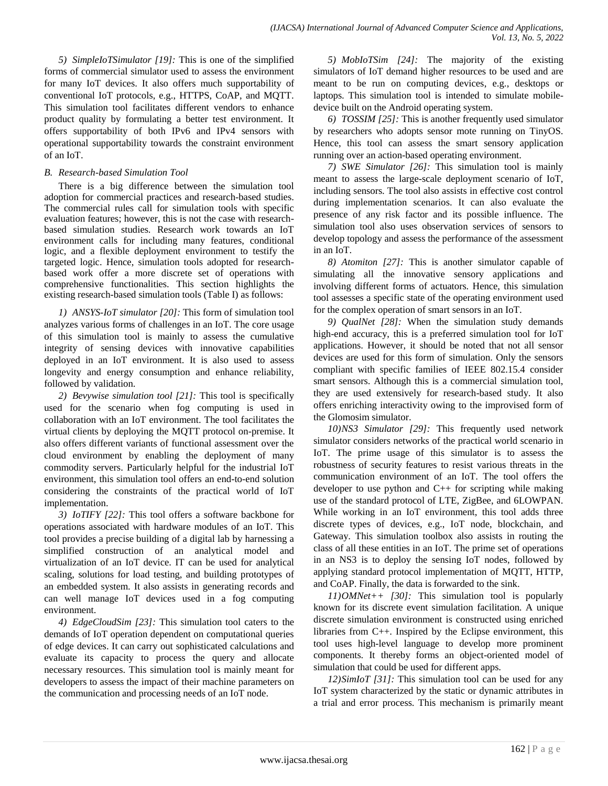*5) SimpleIoTSimulator [19]:* This is one of the simplified forms of commercial simulator used to assess the environment for many IoT devices. It also offers much supportability of conventional IoT protocols, e.g., HTTPS, CoAP, and MQTT. This simulation tool facilitates different vendors to enhance product quality by formulating a better test environment. It offers supportability of both IPv6 and IPv4 sensors with operational supportability towards the constraint environment of an IoT.

## *B. Research-based Simulation Tool*

There is a big difference between the simulation tool adoption for commercial practices and research-based studies. The commercial rules call for simulation tools with specific evaluation features; however, this is not the case with researchbased simulation studies. Research work towards an IoT environment calls for including many features, conditional logic, and a flexible deployment environment to testify the targeted logic. Hence, simulation tools adopted for researchbased work offer a more discrete set of operations with comprehensive functionalities. This section highlights the existing research-based simulation tools (Table I) as follows:

*1) ANSYS-IoT simulator [20]:* This form of simulation tool analyzes various forms of challenges in an IoT. The core usage of this simulation tool is mainly to assess the cumulative integrity of sensing devices with innovative capabilities deployed in an IoT environment. It is also used to assess longevity and energy consumption and enhance reliability, followed by validation.

*2) Bevywise simulation tool [21]:* This tool is specifically used for the scenario when fog computing is used in collaboration with an IoT environment. The tool facilitates the virtual clients by deploying the MQTT protocol on-premise. It also offers different variants of functional assessment over the cloud environment by enabling the deployment of many commodity servers. Particularly helpful for the industrial IoT environment, this simulation tool offers an end-to-end solution considering the constraints of the practical world of IoT implementation.

*3) IoTIFY [22]:* This tool offers a software backbone for operations associated with hardware modules of an IoT. This tool provides a precise building of a digital lab by harnessing a simplified construction of an analytical model and virtualization of an IoT device. IT can be used for analytical scaling, solutions for load testing, and building prototypes of an embedded system. It also assists in generating records and can well manage IoT devices used in a fog computing environment.

*4) EdgeCloudSim [23]:* This simulation tool caters to the demands of IoT operation dependent on computational queries of edge devices. It can carry out sophisticated calculations and evaluate its capacity to process the query and allocate necessary resources. This simulation tool is mainly meant for developers to assess the impact of their machine parameters on the communication and processing needs of an IoT node.

*5) MobIoTSim [24]:* The majority of the existing simulators of IoT demand higher resources to be used and are meant to be run on computing devices, e.g., desktops or laptops. This simulation tool is intended to simulate mobiledevice built on the Android operating system.

*6) TOSSIM [25]:* This is another frequently used simulator by researchers who adopts sensor mote running on TinyOS. Hence, this tool can assess the smart sensory application running over an action-based operating environment.

*7) SWE Simulator [26]:* This simulation tool is mainly meant to assess the large-scale deployment scenario of IoT, including sensors. The tool also assists in effective cost control during implementation scenarios. It can also evaluate the presence of any risk factor and its possible influence. The simulation tool also uses observation services of sensors to develop topology and assess the performance of the assessment in an IoT.

*8) Atomiton [27]:* This is another simulator capable of simulating all the innovative sensory applications and involving different forms of actuators. Hence, this simulation tool assesses a specific state of the operating environment used for the complex operation of smart sensors in an IoT.

*9) QualNet [28]:* When the simulation study demands high-end accuracy, this is a preferred simulation tool for IoT applications. However, it should be noted that not all sensor devices are used for this form of simulation. Only the sensors compliant with specific families of IEEE 802.15.4 consider smart sensors. Although this is a commercial simulation tool, they are used extensively for research-based study. It also offers enriching interactivity owing to the improvised form of the Glomosim simulator.

*10)NS3 Simulator [29]:* This frequently used network simulator considers networks of the practical world scenario in IoT. The prime usage of this simulator is to assess the robustness of security features to resist various threats in the communication environment of an IoT. The tool offers the developer to use python and C++ for scripting while making use of the standard protocol of LTE, ZigBee, and 6LOWPAN. While working in an IoT environment, this tool adds three discrete types of devices, e.g., IoT node, blockchain, and Gateway. This simulation toolbox also assists in routing the class of all these entities in an IoT. The prime set of operations in an NS3 is to deploy the sensing IoT nodes, followed by applying standard protocol implementation of MQTT, HTTP, and CoAP. Finally, the data is forwarded to the sink.

*11)OMNet++ [30]:* This simulation tool is popularly known for its discrete event simulation facilitation. A unique discrete simulation environment is constructed using enriched libraries from C++. Inspired by the Eclipse environment, this tool uses high-level language to develop more prominent components. It thereby forms an object-oriented model of simulation that could be used for different apps.

*12)SimIoT [31]:* This simulation tool can be used for any IoT system characterized by the static or dynamic attributes in a trial and error process. This mechanism is primarily meant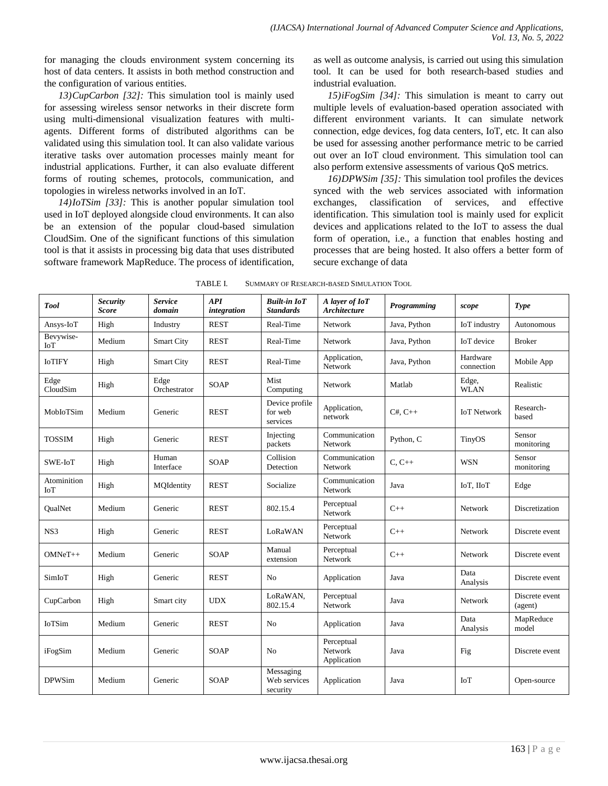for managing the clouds environment system concerning its host of data centers. It assists in both method construction and the configuration of various entities.

*13)CupCarbon [32]:* This simulation tool is mainly used for assessing wireless sensor networks in their discrete form using multi-dimensional visualization features with multiagents. Different forms of distributed algorithms can be validated using this simulation tool. It can also validate various iterative tasks over automation processes mainly meant for industrial applications. Further, it can also evaluate different forms of routing schemes, protocols, communication, and topologies in wireless networks involved in an IoT.

*14)IoTSim [33]:* This is another popular simulation tool used in IoT deployed alongside cloud environments. It can also be an extension of the popular cloud-based simulation CloudSim. One of the significant functions of this simulation tool is that it assists in processing big data that uses distributed software framework MapReduce. The process of identification, as well as outcome analysis, is carried out using this simulation tool. It can be used for both research-based studies and industrial evaluation.

*15)iFogSim [34]:* This simulation is meant to carry out multiple levels of evaluation-based operation associated with different environment variants. It can simulate network connection, edge devices, fog data centers, IoT, etc. It can also be used for assessing another performance metric to be carried out over an IoT cloud environment. This simulation tool can also perform extensive assessments of various QoS metrics.

*16)DPWSim [35]:* This simulation tool profiles the devices synced with the web services associated with information exchanges, classification of services, and effective identification. This simulation tool is mainly used for explicit devices and applications related to the IoT to assess the dual form of operation, i.e., a function that enables hosting and processes that are being hosted. It also offers a better form of secure exchange of data

| <b>Tool</b>               | <b>Security</b><br><b>Score</b> | <b>Service</b><br>domain | <b>API</b><br>integration | <b>Built-in IoT</b><br><b>Standards</b> | A layer of IoT<br><b>Architecture</b> | <b>Programming</b> | scope                  | <b>Type</b>               |
|---------------------------|---------------------------------|--------------------------|---------------------------|-----------------------------------------|---------------------------------------|--------------------|------------------------|---------------------------|
| Ansys-IoT                 | High                            | Industry                 | <b>REST</b>               | Real-Time                               | Network                               | Java, Python       | IoT industry           | Autonomous                |
| Bevywise-<br>IoT          | Medium                          | <b>Smart City</b>        | <b>REST</b>               | Real-Time                               | Network                               | Java, Python       | IoT device             | <b>Broker</b>             |
| <b>IoTIFY</b>             | High                            | <b>Smart City</b>        | <b>REST</b>               | Real-Time                               | Application,<br>Network               | Java, Python       | Hardware<br>connection | Mobile App                |
| Edge<br>CloudSim          | High                            | Edge<br>Orchestrator     | <b>SOAP</b>               | Mist<br>Computing                       | <b>Network</b>                        | Matlab             | Edge,<br><b>WLAN</b>   | Realistic                 |
| MobIoTSim                 | Medium                          | Generic                  | <b>REST</b>               | Device profile<br>for web<br>services   | Application,<br>network               | $C#$ , $C++$       | <b>IoT Network</b>     | Research-<br>based        |
| <b>TOSSIM</b>             | High                            | Generic                  | <b>REST</b>               | Injecting<br>packets                    | Communication<br><b>Network</b>       | Python, C          | TinyOS                 | Sensor<br>monitoring      |
| SWE-IoT                   | High                            | Human<br>Interface       | <b>SOAP</b>               | Collision<br>Detection                  | Communication<br>Network              | $C, C++$           | <b>WSN</b>             | Sensor<br>monitoring      |
| Atominition<br><b>IoT</b> | High                            | MQIdentity               | <b>REST</b>               | Socialize                               | Communication<br>Network              | Java               | IoT, IIoT              | Edge                      |
| <b>OualNet</b>            | Medium                          | Generic                  | <b>REST</b>               | 802.15.4                                | Perceptual<br>Network                 | $C++$              | Network                | Discretization            |
| NS3                       | High                            | Generic                  | <b>REST</b>               | LoRaWAN                                 | Perceptual<br><b>Network</b>          | $C++$              | Network                | Discrete event            |
| $OMNeT++$                 | Medium                          | Generic                  | <b>SOAP</b>               | Manual<br>extension                     | Perceptual<br>Network                 | $C++$              | Network                | Discrete event            |
| SimIoT                    | High                            | Generic                  | <b>REST</b>               | N <sub>0</sub>                          | Application                           | Java               | Data<br>Analysis       | Discrete event            |
| CupCarbon                 | High                            | Smart city               | <b>UDX</b>                | LoRaWAN.<br>802.15.4                    | Perceptual<br>Network                 | Java               | Network                | Discrete event<br>(agent) |
| <b>IoTSim</b>             | Medium                          | Generic                  | <b>REST</b>               | N <sub>0</sub>                          | Application                           | Java               | Data<br>Analysis       | MapReduce<br>model        |
| iFogSim                   | Medium                          | Generic                  | SOAP                      | N <sub>0</sub>                          | Perceptual<br>Network<br>Application  | Java               | Fig                    | Discrete event            |
| <b>DPWSim</b>             | Medium                          | Generic                  | <b>SOAP</b>               | Messaging<br>Web services<br>security   | Application                           | Java               | IoT                    | Open-source               |

| <b>SUMMARY OF RESEARCH-BASED SIMULATION TOOL</b><br>TABLE I. |
|--------------------------------------------------------------|
|                                                              |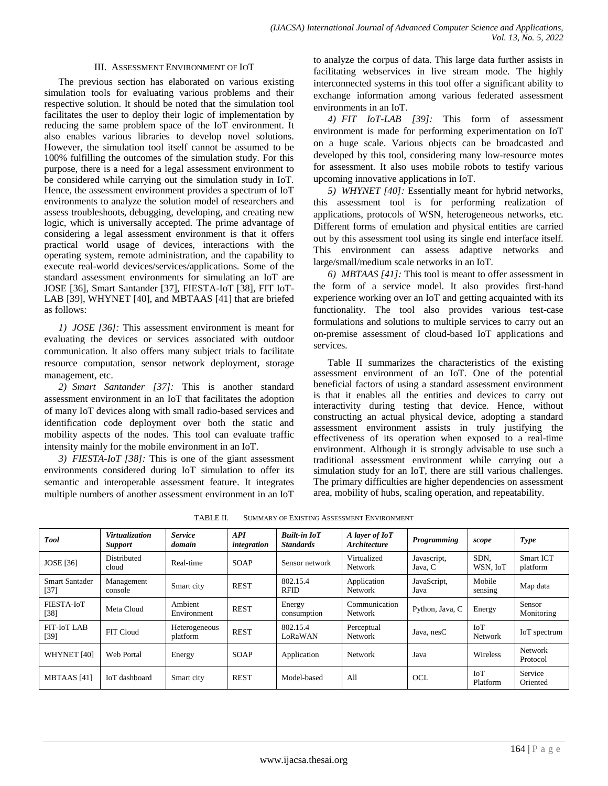#### III. ASSESSMENT ENVIRONMENT OF IOT

The previous section has elaborated on various existing simulation tools for evaluating various problems and their respective solution. It should be noted that the simulation tool facilitates the user to deploy their logic of implementation by reducing the same problem space of the IoT environment. It also enables various libraries to develop novel solutions. However, the simulation tool itself cannot be assumed to be 100% fulfilling the outcomes of the simulation study. For this purpose, there is a need for a legal assessment environment to be considered while carrying out the simulation study in IoT. Hence, the assessment environment provides a spectrum of IoT environments to analyze the solution model of researchers and assess troubleshoots, debugging, developing, and creating new logic, which is universally accepted. The prime advantage of considering a legal assessment environment is that it offers practical world usage of devices, interactions with the operating system, remote administration, and the capability to execute real-world devices/services/applications. Some of the standard assessment environments for simulating an IoT are JOSE [36], Smart Santander [37], FIESTA-IoT [38], FIT IoT-LAB [39], WHYNET [40], and MBTAAS [41] that are briefed as follows:

*1) JOSE [36]:* This assessment environment is meant for evaluating the devices or services associated with outdoor communication. It also offers many subject trials to facilitate resource computation, sensor network deployment, storage management, etc.

*2) Smart Santander [37]:* This is another standard assessment environment in an IoT that facilitates the adoption of many IoT devices along with small radio-based services and identification code deployment over both the static and mobility aspects of the nodes. This tool can evaluate traffic intensity mainly for the mobile environment in an IoT.

*3) FIESTA-IoT [38]:* This is one of the giant assessment environments considered during IoT simulation to offer its semantic and interoperable assessment feature. It integrates multiple numbers of another assessment environment in an IoT to analyze the corpus of data. This large data further assists in facilitating webservices in live stream mode. The highly interconnected systems in this tool offer a significant ability to exchange information among various federated assessment environments in an IoT.

*4) FIT IoT-LAB [39]:* This form of assessment environment is made for performing experimentation on IoT on a huge scale. Various objects can be broadcasted and developed by this tool, considering many low-resource motes for assessment. It also uses mobile robots to testify various upcoming innovative applications in IoT.

*5) WHYNET [40]:* Essentially meant for hybrid networks, this assessment tool is for performing realization of applications, protocols of WSN, heterogeneous networks, etc. Different forms of emulation and physical entities are carried out by this assessment tool using its single end interface itself. This environment can assess adaptive networks and large/small/medium scale networks in an IoT.

*6) MBTAAS [41]:* This tool is meant to offer assessment in the form of a service model. It also provides first-hand experience working over an IoT and getting acquainted with its functionality. The tool also provides various test-case formulations and solutions to multiple services to carry out an on-premise assessment of cloud-based IoT applications and services.

Table II summarizes the characteristics of the existing assessment environment of an IoT. One of the potential beneficial factors of using a standard assessment environment is that it enables all the entities and devices to carry out interactivity during testing that device. Hence, without constructing an actual physical device, adopting a standard assessment environment assists in truly justifying the effectiveness of its operation when exposed to a real-time environment. Although it is strongly advisable to use such a traditional assessment environment while carrying out a simulation study for an IoT, there are still various challenges. The primary difficulties are higher dependencies on assessment area, mobility of hubs, scaling operation, and repeatability.

| <b>SUMMARY OF EXISTING ASSESSMENT ENVIRONMENT</b> |
|---------------------------------------------------|
|                                                   |

| <b>Tool</b>                     | <b>Virtualization</b><br><b>Support</b> | <b>Service</b><br>domain  | <b>API</b><br>integration | <b>Built-in IoT</b><br><b>Standards</b> | A layer of IoT<br>Architecture | <b>Programming</b>     | scope                  | Type                         |
|---------------------------------|-----------------------------------------|---------------------------|---------------------------|-----------------------------------------|--------------------------------|------------------------|------------------------|------------------------------|
| <b>JOSE</b> [36]                | Distributed<br>cloud                    | Real-time                 | <b>SOAP</b>               | Sensor network                          | Virtualized<br>Network         | Javascript,<br>Java, C | SDN.<br>WSN, IoT       | <b>Smart ICT</b><br>platform |
| <b>Smart Santader</b><br>$[37]$ | Management<br>console                   | Smart city                | <b>REST</b>               | 802.15.4<br><b>RFID</b>                 | Application<br>Network         | JavaScript,<br>Java    | Mobile<br>sensing      | Map data                     |
| FIESTA-IoT<br>[38]              | Meta Cloud                              | Ambient<br>Environment    | <b>REST</b>               | Energy<br>consumption                   | Communication<br>Network       | Python, Java, C        | Energy                 | Sensor<br>Monitoring         |
| <b>FIT-IoT LAB</b><br>$[39]$    | FIT Cloud                               | Heterogeneous<br>platform | <b>REST</b>               | 802.15.4<br>LoRaWAN                     | Perceptual<br>Network          | Java, nesC             | IoT<br><b>Network</b>  | IoT spectrum                 |
| WHYNET [40]                     | Web Portal                              | Energy                    | <b>SOAP</b>               | Application                             | Network                        | Java                   | Wireless               | Network<br>Protocol          |
| <b>MBTAAS</b> [41]              | IoT dashboard                           | Smart city                | <b>REST</b>               | Model-based                             | All                            | <b>OCL</b>             | <b>IoT</b><br>Platform | Service<br>Oriented          |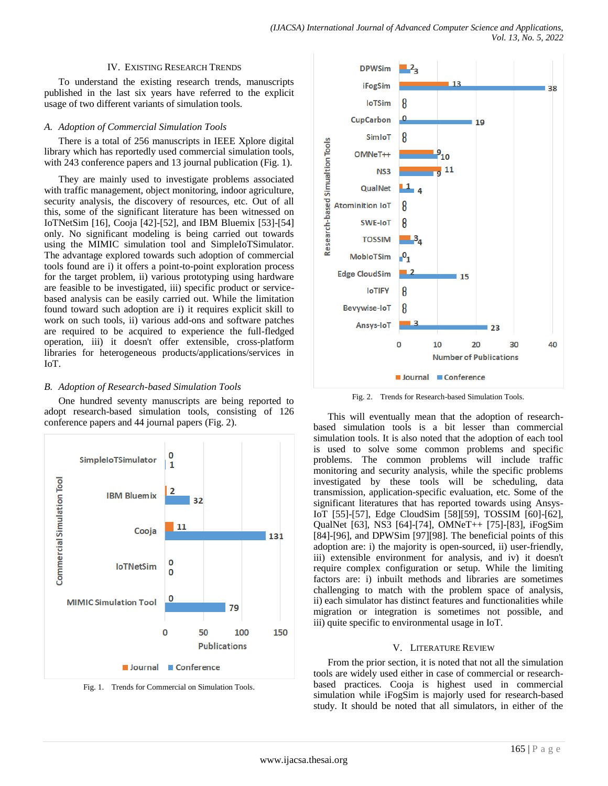#### IV. EXISTING RESEARCH TRENDS

To understand the existing research trends, manuscripts published in the last six years have referred to the explicit usage of two different variants of simulation tools.

## *A. Adoption of Commercial Simulation Tools*

There is a total of 256 manuscripts in IEEE Xplore digital library which has reportedly used commercial simulation tools, with 243 conference papers and 13 journal publication (Fig. 1).

They are mainly used to investigate problems associated with traffic management, object monitoring, indoor agriculture, security analysis, the discovery of resources, etc. Out of all this, some of the significant literature has been witnessed on IoTNetSim [16], Cooja [42]-[52], and IBM Bluemix [53]-[54] only. No significant modeling is being carried out towards using the MIMIC simulation tool and SimpleIoTSimulator. The advantage explored towards such adoption of commercial tools found are i) it offers a point-to-point exploration process for the target problem, ii) various prototyping using hardware are feasible to be investigated, iii) specific product or servicebased analysis can be easily carried out. While the limitation found toward such adoption are i) it requires explicit skill to work on such tools, ii) various add-ons and software patches are required to be acquired to experience the full-fledged operation, iii) it doesn't offer extensible, cross-platform libraries for heterogeneous products/applications/services in IoT.

## *B. Adoption of Research-based Simulation Tools*

One hundred seventy manuscripts are being reported to adopt research-based simulation tools, consisting of 126 conference papers and 44 journal papers (Fig. 2).



Fig. 1. Trends for Commercial on Simulation Tools.



Fig. 2. Trends for Research-based Simulation Tools.

This will eventually mean that the adoption of researchbased simulation tools is a bit lesser than commercial simulation tools. It is also noted that the adoption of each tool is used to solve some common problems and specific problems. The common problems will include traffic monitoring and security analysis, while the specific problems investigated by these tools will be scheduling, data transmission, application-specific evaluation, etc. Some of the significant literatures that has reported towards using Ansys-IoT [55]-[57], Edge CloudSim [58][59], TOSSIM [60]-[62], QualNet [63], NS3 [64]-[74], OMNeT++ [75]-[83], iFogSim [84]-[96], and DPWSim [97][98]. The beneficial points of this adoption are: i) the majority is open-sourced, ii) user-friendly, iii) extensible environment for analysis, and iv) it doesn't require complex configuration or setup. While the limiting factors are: i) inbuilt methods and libraries are sometimes challenging to match with the problem space of analysis, ii) each simulator has distinct features and functionalities while migration or integration is sometimes not possible, and iii) quite specific to environmental usage in IoT.

#### V. LITERATURE REVIEW

From the prior section, it is noted that not all the simulation tools are widely used either in case of commercial or researchbased practices. Cooja is highest used in commercial simulation while iFogSim is majorly used for research-based study. It should be noted that all simulators, in either of the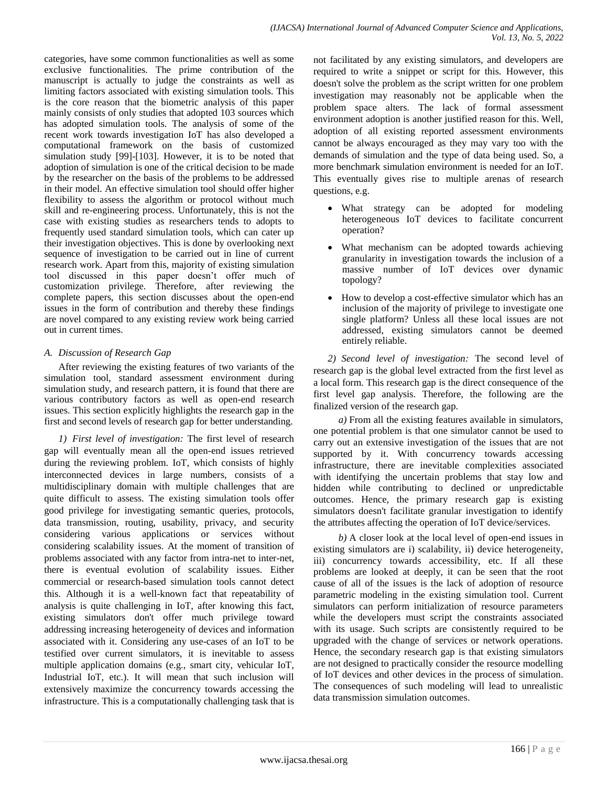categories, have some common functionalities as well as some exclusive functionalities. The prime contribution of the manuscript is actually to judge the constraints as well as limiting factors associated with existing simulation tools. This is the core reason that the biometric analysis of this paper mainly consists of only studies that adopted 103 sources which has adopted simulation tools. The analysis of some of the recent work towards investigation IoT has also developed a computational framework on the basis of customized simulation study [99]-[103]. However, it is to be noted that adoption of simulation is one of the critical decision to be made by the researcher on the basis of the problems to be addressed in their model. An effective simulation tool should offer higher flexibility to assess the algorithm or protocol without much skill and re-engineering process. Unfortunately, this is not the case with existing studies as researchers tends to adopts to frequently used standard simulation tools, which can cater up their investigation objectives. This is done by overlooking next sequence of investigation to be carried out in line of current research work. Apart from this, majority of existing simulation tool discussed in this paper doesn't offer much of customization privilege. Therefore, after reviewing the complete papers, this section discusses about the open-end issues in the form of contribution and thereby these findings are novel compared to any existing review work being carried out in current times.

## *A. Discussion of Research Gap*

After reviewing the existing features of two variants of the simulation tool, standard assessment environment during simulation study, and research pattern, it is found that there are various contributory factors as well as open-end research issues. This section explicitly highlights the research gap in the first and second levels of research gap for better understanding.

*1) First level of investigation:* The first level of research gap will eventually mean all the open-end issues retrieved during the reviewing problem. IoT, which consists of highly interconnected devices in large numbers, consists of a multidisciplinary domain with multiple challenges that are quite difficult to assess. The existing simulation tools offer good privilege for investigating semantic queries, protocols, data transmission, routing, usability, privacy, and security considering various applications or services without considering scalability issues. At the moment of transition of problems associated with any factor from intra-net to inter-net, there is eventual evolution of scalability issues. Either commercial or research-based simulation tools cannot detect this. Although it is a well-known fact that repeatability of analysis is quite challenging in IoT, after knowing this fact, existing simulators don't offer much privilege toward addressing increasing heterogeneity of devices and information associated with it. Considering any use-cases of an IoT to be testified over current simulators, it is inevitable to assess multiple application domains (e.g., smart city, vehicular IoT, Industrial IoT, etc.). It will mean that such inclusion will extensively maximize the concurrency towards accessing the infrastructure. This is a computationally challenging task that is

not facilitated by any existing simulators, and developers are required to write a snippet or script for this. However, this doesn't solve the problem as the script written for one problem investigation may reasonably not be applicable when the problem space alters. The lack of formal assessment environment adoption is another justified reason for this. Well, adoption of all existing reported assessment environments cannot be always encouraged as they may vary too with the demands of simulation and the type of data being used. So, a more benchmark simulation environment is needed for an IoT. This eventually gives rise to multiple arenas of research questions, e.g.

- What strategy can be adopted for modeling heterogeneous IoT devices to facilitate concurrent operation?
- What mechanism can be adopted towards achieving granularity in investigation towards the inclusion of a massive number of IoT devices over dynamic topology?
- How to develop a cost-effective simulator which has an inclusion of the majority of privilege to investigate one single platform? Unless all these local issues are not addressed, existing simulators cannot be deemed entirely reliable.

*2) Second level of investigation:* The second level of research gap is the global level extracted from the first level as a local form. This research gap is the direct consequence of the first level gap analysis. Therefore, the following are the finalized version of the research gap.

*a)* From all the existing features available in simulators, one potential problem is that one simulator cannot be used to carry out an extensive investigation of the issues that are not supported by it. With concurrency towards accessing infrastructure, there are inevitable complexities associated with identifying the uncertain problems that stay low and hidden while contributing to declined or unpredictable outcomes. Hence, the primary research gap is existing simulators doesn't facilitate granular investigation to identify the attributes affecting the operation of IoT device/services.

*b)* A closer look at the local level of open-end issues in existing simulators are i) scalability, ii) device heterogeneity, iii) concurrency towards accessibility, etc. If all these problems are looked at deeply, it can be seen that the root cause of all of the issues is the lack of adoption of resource parametric modeling in the existing simulation tool. Current simulators can perform initialization of resource parameters while the developers must script the constraints associated with its usage. Such scripts are consistently required to be upgraded with the change of services or network operations. Hence, the secondary research gap is that existing simulators are not designed to practically consider the resource modelling of IoT devices and other devices in the process of simulation. The consequences of such modeling will lead to unrealistic data transmission simulation outcomes.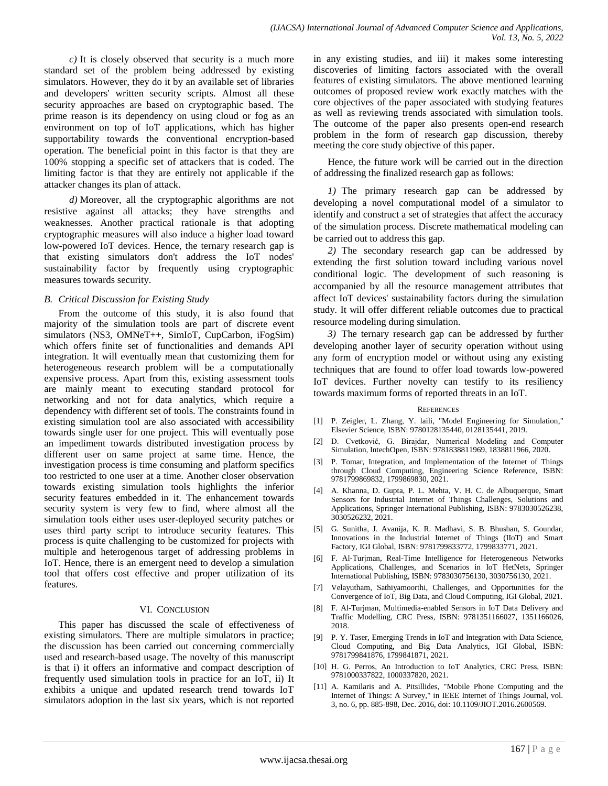*c)* It is closely observed that security is a much more standard set of the problem being addressed by existing simulators. However, they do it by an available set of libraries and developers' written security scripts. Almost all these security approaches are based on cryptographic based. The prime reason is its dependency on using cloud or fog as an environment on top of IoT applications, which has higher supportability towards the conventional encryption-based operation. The beneficial point in this factor is that they are 100% stopping a specific set of attackers that is coded. The limiting factor is that they are entirely not applicable if the attacker changes its plan of attack.

*d)* Moreover, all the cryptographic algorithms are not resistive against all attacks; they have strengths and weaknesses. Another practical rationale is that adopting cryptographic measures will also induce a higher load toward low-powered IoT devices. Hence, the ternary research gap is that existing simulators don't address the IoT nodes' sustainability factor by frequently using cryptographic measures towards security.

### *B. Critical Discussion for Existing Study*

From the outcome of this study, it is also found that majority of the simulation tools are part of discrete event simulators (NS3, OMNeT++, SimIoT, CupCarbon, iFogSim) which offers finite set of functionalities and demands API integration. It will eventually mean that customizing them for heterogeneous research problem will be a computationally expensive process. Apart from this, existing assessment tools are mainly meant to executing standard protocol for networking and not for data analytics, which require a dependency with different set of tools. The constraints found in existing simulation tool are also associated with accessibility towards single user for one project. This will eventually pose an impediment towards distributed investigation process by different user on same project at same time. Hence, the investigation process is time consuming and platform specifics too restricted to one user at a time. Another closer observation towards existing simulation tools highlights the inferior security features embedded in it. The enhancement towards security system is very few to find, where almost all the simulation tools either uses user-deployed security patches or uses third party script to introduce security features. This process is quite challenging to be customized for projects with multiple and heterogenous target of addressing problems in IoT. Hence, there is an emergent need to develop a simulation tool that offers cost effective and proper utilization of its features.

#### VI. CONCLUSION

This paper has discussed the scale of effectiveness of existing simulators. There are multiple simulators in practice; the discussion has been carried out concerning commercially used and research-based usage. The novelty of this manuscript is that i) it offers an informative and compact description of frequently used simulation tools in practice for an IoT, ii) It exhibits a unique and updated research trend towards IoT simulators adoption in the last six years, which is not reported in any existing studies, and iii) it makes some interesting discoveries of limiting factors associated with the overall features of existing simulators. The above mentioned learning outcomes of proposed review work exactly matches with the core objectives of the paper associated with studying features as well as reviewing trends associated with simulation tools. The outcome of the paper also presents open-end research problem in the form of research gap discussion, thereby meeting the core study objective of this paper.

Hence, the future work will be carried out in the direction of addressing the finalized research gap as follows:

*1)* The primary research gap can be addressed by developing a novel computational model of a simulator to identify and construct a set of strategies that affect the accuracy of the simulation process. Discrete mathematical modeling can be carried out to address this gap.

*2)* The secondary research gap can be addressed by extending the first solution toward including various novel conditional logic. The development of such reasoning is accompanied by all the resource management attributes that affect IoT devices' sustainability factors during the simulation study. It will offer different reliable outcomes due to practical resource modeling during simulation.

*3)* The ternary research gap can be addressed by further developing another layer of security operation without using any form of encryption model or without using any existing techniques that are found to offer load towards low-powered IoT devices. Further novelty can testify to its resiliency towards maximum forms of reported threats in an IoT.

#### **REFERENCES**

- [1] P. Zeigler, L. Zhang, Y. laili, "Model Engineering for Simulation," Elsevier Science, ISBN: 9780128135440, 0128135441, 2019.
- [2] D. Cvetković, G. Birajdar, Numerical Modeling and Computer Simulation, IntechOpen, ISBN: 9781838811969, 1838811966, 2020.
- [3] P. Tomar, Integration, and Implementation of the Internet of Things through Cloud Computing, Engineering Science Reference, ISBN: 9781799869832, 1799869830, 2021.
- [4] A. Khanna, D. Gupta, P. L. Mehta, V. H. C. de Albuquerque, Smart Sensors for Industrial Internet of Things Challenges, Solutions and Applications, Springer International Publishing, ISBN: 9783030526238, 3030526232, 2021.
- [5] G. Sunitha, J. Avanija, K. R. Madhavi, S. B. Bhushan, S. Goundar, Innovations in the Industrial Internet of Things (IIoT) and Smart Factory, IGI Global, ISBN: 9781799833772, 1799833771, 2021.
- [6] F. Al-Turjman, Real-Time Intelligence for Heterogeneous Networks Applications, Challenges, and Scenarios in IoT HetNets, Springer International Publishing, ISBN: 9783030756130, 3030756130, 2021.
- [7] Velayutham, Sathiyamoorthi, Challenges, and Opportunities for the Convergence of IoT, Big Data, and Cloud Computing, IGI Global, 2021.
- [8] F. Al-Turjman, Multimedia-enabled Sensors in IoT Data Delivery and Traffic Modelling, CRC Press, ISBN: 9781351166027, 1351166026, 2018.
- [9] P. Y. Taser, Emerging Trends in IoT and Integration with Data Science, Cloud Computing, and Big Data Analytics, IGI Global, ISBN: 9781799841876, 1799841871, 2021.
- [10] H. G. Perros, An Introduction to IoT Analytics, CRC Press, ISBN: 9781000337822, 1000337820, 2021.
- [11] A. Kamilaris and A. Pitsillides, "Mobile Phone Computing and the Internet of Things: A Survey," in IEEE Internet of Things Journal, vol. 3, no. 6, pp. 885-898, Dec. 2016, doi: 10.1109/JIOT.2016.2600569.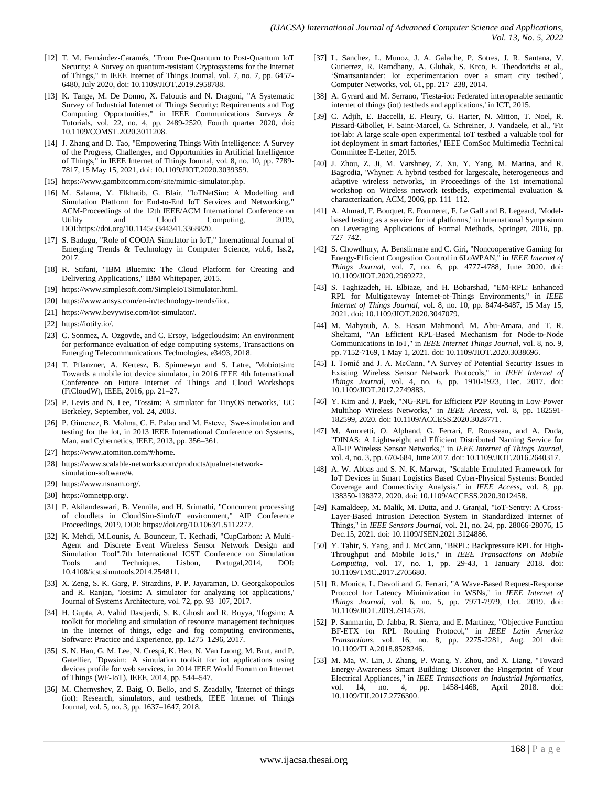- [12] T. M. Fernández-Caramés, "From Pre-Quantum to Post-Quantum IoT Security: A Survey on quantum-resistant Cryptosystems for the Internet of Things," in IEEE Internet of Things Journal, vol. 7, no. 7, pp. 6457- 6480, July 2020, doi: 10.1109/JIOT.2019.2958788.
- [13] K. Tange, M. De Donno, X. Fafoutis and N. Dragoni, "A Systematic Survey of Industrial Internet of Things Security: Requirements and Fog Computing Opportunities," in IEEE Communications Surveys & Tutorials, vol. 22, no. 4, pp. 2489-2520, Fourth quarter 2020, doi: 10.1109/COMST.2020.3011208.
- [14] J. Zhang and D. Tao, "Empowering Things With Intelligence: A Survey of the Progress, Challenges, and Opportunities in Artificial Intelligence of Things," in IEEE Internet of Things Journal, vol. 8, no. 10, pp. 7789- 7817, 15 May 15, 2021, doi: 10.1109/JIOT.2020.3039359.
- [15] https://www.gambitcomm.com/site/mimic-simulator.php.
- [16] M. Salama, Y. Elkhatib, G. Blair, "IoTNetSim: A Modelling and Simulation Platform for End-to-End IoT Services and Networking," ACM-Proceedings of the 12th IEEE/ACM International Conference on Utility and Cloud Computing, 2019, DOI:https://doi.org/10.1145/3344341.3368820.
- [17] S. Badugu, "Role of COOJA Simulator in IoT," International Journal of Emerging Trends & Technology in Computer Science, vol.6, Iss.2, 2017.
- [18] R. Stifani, "IBM Bluemix: The Cloud Platform for Creating and Delivering Applications," IBM Whitepaper, 2015.
- [19] https://www.simplesoft.com/SimpleIoTSimulator.html.
- [20] [https://www.ansys.com/en-in/technology-trends/iiot.](https://www.ansys.com/en-in/technology-trends/iiot)
- [21] https://www.bevywise.com/iot-simulator/.
- [22] https://iotify.io/.
- [23] C. Sonmez, A. Ozgovde, and C. Ersoy, 'Edgecloudsim: An environment for performance evaluation of edge computing systems, Transactions on Emerging Telecommunications Technologies, e3493, 2018.
- [24] T. Pflanzner, A. Kertesz, B. Spinnewyn and S. Latre, 'Mobiotsim: Towards a mobile iot device simulator, in 2016 IEEE 4th International Conference on Future Internet of Things and Cloud Workshops (FiCloudW), IEEE, 2016, pp. 21–27.
- [25] P. Levis and N. Lee, 'Tossim: A simulator for TinyOS networks,' UC Berkeley, September, vol. 24, 2003.
- [26] P. Gimenez, B. Molına, C. E. Palau and M. Esteve, 'Swe-simulation and testing for the lot, in 2013 IEEE International Conference on Systems, Man, and Cybernetics, IEEE, 2013, pp. 356–361.
- [27] https://www.atomiton.com/#/home.
- [28] https://www.scalable-networks.com/products/qualnet-networksimulation-software/#.
- [29] https://www.nsnam.org/.
- [30] https://omnetpp.org/.
- [31] P. Akilandeswari, B. Vennila, and H. Srimathi, "Concurrent processing of cloudlets in CloudSim-SimIoT environment," AIP Conference Proceedings, 2019, DOI: https://doi.org/10.1063/1.5112277.
- [32] K. Mehdi, M.Lounis, A. Bounceur, T. Kechadi, "CupCarbon: A Multi-Agent and Discrete Event Wireless Sensor Network Design and Simulation Tool".7th International ICST Conference on Simulation Tools and Techniques, Lisbon, Portugal,2014, DOI: 10.4108/icst.simutools.2014.254811.
- [33] X. Zeng, S. K. Garg, P. Strazdins, P. P. Jayaraman, D. Georgakopoulos and R. Ranjan, 'Iotsim: A simulator for analyzing iot applications,' Journal of Systems Architecture, vol. 72, pp. 93–107, 2017.
- [34] H. Gupta, A. Vahid Dastjerdi, S. K. Ghosh and R. Buyya, 'Ifogsim: A toolkit for modeling and simulation of resource management techniques in the Internet of things, edge and fog computing environments, Software: Practice and Experience, pp. 1275–1296, 2017.
- [35] S. N. Han, G. M. Lee, N. Crespi, K. Heo, N. Van Luong, M. Brut, and P. Gatellier, 'Dpwsim: A simulation toolkit for iot applications using devices profile for web services, in 2014 IEEE World Forum on Internet of Things (WF-IoT), IEEE, 2014, pp. 544–547.
- [36] M. Chernyshev, Z. Baig, O. Bello, and S. Zeadally, 'Internet of things (iot): Research, simulators, and testbeds, IEEE Internet of Things Journal, vol. 5, no. 3, pp. 1637–1647, 2018.
- [37] L. Sanchez, L. Munoz, J. A. Galache, P. Sotres, J. R. Santana, V. Gutierrez, R. Ramdhany, A. Gluhak, S. Krco, E. Theodoridis et al., 'Smartsantander: Iot experimentation over a smart city testbed', Computer Networks, vol. 61, pp. 217–238, 2014.
- [38] A. Gyrard and M. Serrano, 'Fiesta-iot: Federated interoperable semantic internet of things (iot) testbeds and applications,' in ICT, 2015.
- [39] C. Adjih, E. Baccelli, E. Fleury, G. Harter, N. Mitton, T. Noel, R. Pissard-Gibollet, F. Saint-Marcel, G. Schreiner, J. Vandaele, et al., 'Fit iot-lab: A large scale open experimental IoT testbed–a valuable tool for iot deployment in smart factories,' IEEE ComSoc Multimedia Technical Committee E-Letter, 2015.
- [40] J. Zhou, Z. Ji, M. Varshney, Z. Xu, Y. Yang, M. Marina, and R. Bagrodia, 'Whynet: A hybrid testbed for largescale, heterogeneous and adaptive wireless networks,' in Proceedings of the 1st international workshop on Wireless network testbeds, experimental evaluation & characterization, ACM, 2006, pp. 111–112.
- [41] A. Ahmad, F. Bouquet, E. Fourneret, F. Le Gall and B. Legeard, 'Modelbased testing as a service for iot platforms,' in International Symposium on Leveraging Applications of Formal Methods, Springer, 2016, pp. 727–742.
- [42] S. Chowdhury, A. Benslimane and C. Giri, "Noncooperative Gaming for Energy-Efficient Congestion Control in 6LoWPAN," in *IEEE Internet of Things Journal*, vol. 7, no. 6, pp. 4777-4788, June 2020. doi: 10.1109/JIOT.2020.2969272.
- [43] S. Taghizadeh, H. Elbiaze, and H. Bobarshad, "EM-RPL: Enhanced RPL for Multigateway Internet-of-Things Environments," in *IEEE Internet of Things Journal*, vol. 8, no. 10, pp. 8474-8487, 15 May 15, 2021. doi: 10.1109/JIOT.2020.3047079.
- [44] M. Mahyoub, A. S. Hasan Mahmoud, M. Abu-Amara, and T. R. Sheltami, "An Efficient RPL-Based Mechanism for Node-to-Node Communications in IoT," in *IEEE Internet Things Journal*, vol. 8, no. 9, pp. 7152-7169, 1 May 1, 2021. doi: 10.1109/JIOT.2020.3038696.
- [45] I. Tomić and J. A. McCann, "A Survey of Potential Security Issues in Existing Wireless Sensor Network Protocols," in *IEEE Internet of Things Journal*, vol. 4, no. 6, pp. 1910-1923, Dec. 2017. doi: 10.1109/JIOT.2017.2749883.
- [46] Y. Kim and J. Paek, "NG-RPL for Efficient P2P Routing in Low-Power Multihop Wireless Networks," in *IEEE Access*, vol. 8, pp. 182591- 182599, 2020. doi: 10.1109/ACCESS.2020.3028771.
- [47] M. Amoretti, O. Alphand, G. Ferrari, F. Rousseau, and A. Duda, "DINAS: A Lightweight and Efficient Distributed Naming Service for All-IP Wireless Sensor Networks," in *IEEE Internet of Things Journal*, vol. 4, no. 3, pp. 670-684, June 2017. doi: 10.1109/JIOT.2016.2640317.
- [48] A. W. Abbas and S. N. K. Marwat, "Scalable Emulated Framework for IoT Devices in Smart Logistics Based Cyber-Physical Systems: Bonded Coverage and Connectivity Analysis," in *IEEE Access*, vol. 8, pp. 138350-138372, 2020. doi: 10.1109/ACCESS.2020.3012458.
- [49] Kamaldeep, M. Malik, M. Dutta, and J. Granjal, "IoT-Sentry: A Cross-Layer-Based Intrusion Detection System in Standardized Internet of Things," in *IEEE Sensors Journal*, vol. 21, no. 24, pp. 28066-28076, 15 Dec.15, 2021. doi: 10.1109/JSEN.2021.3124886.
- [50] Y. Tahir, S. Yang, and J. McCann, "BRPL: Backpressure RPL for High-Throughput and Mobile IoTs," in *IEEE Transactions on Mobile Computing*, vol. 17, no. 1, pp. 29-43, 1 January 2018. doi: 10.1109/TMC.2017.2705680.
- [51] R. Monica, L. Davoli and G. Ferrari, "A Wave-Based Request-Response Protocol for Latency Minimization in WSNs," in *IEEE Internet of Things Journal*, vol. 6, no. 5, pp. 7971-7979, Oct. 2019. doi: 10.1109/JIOT.2019.2914578.
- [52] P. Sanmartin, D. Jabba, R. Sierra, and E. Martinez, "Objective Function BF-ETX for RPL Routing Protocol," in *IEEE Latin America Transactions*, vol. 16, no. 8, pp. 2275-2281, Aug. 201 doi: 10.1109/TLA.2018.8528246.
- [53] M. Ma, W. Lin, J. Zhang, P. Wang, Y. Zhou, and X. Liang, "Toward Energy-Awareness Smart Building: Discover the Fingerprint of Your Electrical Appliances," in *IEEE Transactions on Industrial Informatics*, vol. 14, no. 4, pp. 1458-1468, April 2018. doi: 10.1109/TII.2017.2776300.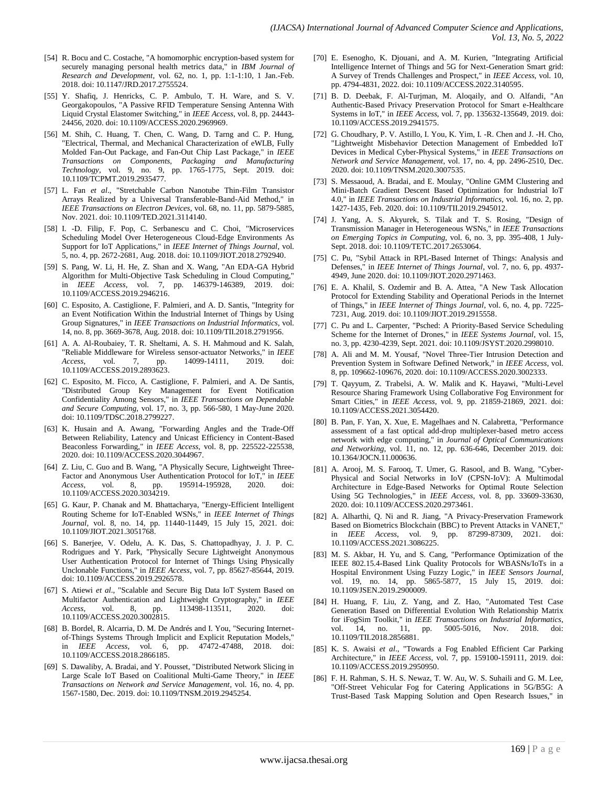- [54] R. Bocu and C. Costache, "A homomorphic encryption-based system for securely managing personal health metrics data," in *IBM Journal of Research and Development*, vol. 62, no. 1, pp. 1:1-1:10, 1 Jan.-Feb. 2018. doi: 10.1147/JRD.2017.2755524.
- [55] Y. Shafiq, J. Henricks, C. P. Ambulo, T. H. Ware, and S. V. Georgakopoulos, "A Passive RFID Temperature Sensing Antenna With Liquid Crystal Elastomer Switching," in *IEEE Access*, vol. 8, pp. 24443- 24456, 2020. doi: 10.1109/ACCESS.2020.2969969.
- [56] M. Shih, C. Huang, T. Chen, C. Wang, D. Tarng and C. P. Hung, "Electrical, Thermal, and Mechanical Characterization of eWLB, Fully Molded Fan-Out Package, and Fan-Out Chip Last Package," in *IEEE Transactions on Components, Packaging and Manufacturing Technology*, vol. 9, no. 9, pp. 1765-1775, Sept. 2019. doi: 10.1109/TCPMT.2019.2935477.
- [57] L. Fan *et al*., "Stretchable Carbon Nanotube Thin-Film Transistor Arrays Realized by a Universal Transferable-Band-Aid Method," in *IEEE Transactions on Electron Devices*, vol. 68, no. 11, pp. 5879-5885, Nov. 2021. doi: 10.1109/TED.2021.3114140.
- [58] I. -D. Filip, F. Pop, C. Serbanescu and C. Choi, "Microservices Scheduling Model Over Heterogeneous Cloud-Edge Environments As Support for IoT Applications," in *IEEE Internet of Things Journal*, vol. 5, no. 4, pp. 2672-2681, Aug. 2018. doi: 10.1109/JIOT.2018.2792940.
- [59] S. Pang, W. Li, H. He, Z. Shan and X. Wang, "An EDA-GA Hybrid Algorithm for Multi-Objective Task Scheduling in Cloud Computing," in *IEEE Access*, vol. 7, pp. 146379-146389, 2019. doi: 10.1109/ACCESS.2019.2946216.
- [60] C. Esposito, A. Castiglione, F. Palmieri, and A. D. Santis, "Integrity for an Event Notification Within the Industrial Internet of Things by Using Group Signatures," in *IEEE Transactions on Industrial Informatics*, vol. 14, no. 8, pp. 3669-3678, Aug. 2018. doi: 10.1109/TII.2018.2791956.
- [61] A. A. Al-Roubaiey, T. R. Sheltami, A. S. H. Mahmoud and K. Salah, "Reliable Middleware for Wireless sensor-actuator Networks," in *IEEE Access*, vol. 7, pp. 14099-14111, 2019. doi: 10.1109/ACCESS.2019.2893623.
- [62] C. Esposito, M. Ficco, A. Castiglione, F. Palmieri, and A. De Santis, "Distributed Group Key Management for Event Notification Confidentiality Among Sensors," in *IEEE Transactions on Dependable and Secure Computing*, vol. 17, no. 3, pp. 566-580, 1 May-June 2020. doi: 10.1109/TDSC.2018.2799227.
- [63] K. Husain and A. Awang, "Forwarding Angles and the Trade-Off Between Reliability, Latency and Unicast Efficiency in Content-Based Beaconless Forwarding," in *IEEE Access*, vol. 8, pp. 225522-225538, 2020. doi: 10.1109/ACCESS.2020.3044967.
- [64] Z. Liu, C. Guo and B. Wang, "A Physically Secure, Lightweight Three-Factor and Anonymous User Authentication Protocol for IoT," in *IEEE Access*, vol. 8, pp. 195914-195928, 2020. doi: 10.1109/ACCESS.2020.3034219.
- [65] G. Kaur, P. Chanak and M. Bhattacharya, "Energy-Efficient Intelligent Routing Scheme for IoT-Enabled WSNs," in *IEEE Internet of Things Journal*, vol. 8, no. 14, pp. 11440-11449, 15 July 15, 2021. doi: 10.1109/JIOT.2021.3051768.
- [66] S. Banerjee, V. Odelu, A. K. Das, S. Chattopadhyay, J. J. P. C. Rodrigues and Y. Park, "Physically Secure Lightweight Anonymous User Authentication Protocol for Internet of Things Using Physically Unclonable Functions," in *IEEE Access*, vol. 7, pp. 85627-85644, 2019. doi: 10.1109/ACCESS.2019.2926578.
- [67] S. Atiewi *et al*., "Scalable and Secure Big Data IoT System Based on Multifactor Authentication and Lightweight Cryptography," in *IEEE Access*, vol. 8, pp. 113498-113511, 2020. doi: 10.1109/ACCESS.2020.3002815.
- [68] B. Bordel, R. Alcarria, D. M. De Andrés and I. You, "Securing Internetof-Things Systems Through Implicit and Explicit Reputation Models," in *IEEE Access*, vol. 6, pp. 47472-47488, 2018. doi: 10.1109/ACCESS.2018.2866185.
- [69] S. Dawaliby, A. Bradai, and Y. Pousset, "Distributed Network Slicing in Large Scale IoT Based on Coalitional Multi-Game Theory," in *IEEE Transactions on Network and Service Management*, vol. 16, no. 4, pp. 1567-1580, Dec. 2019. doi: 10.1109/TNSM.2019.2945254.
- [70] E. Esenogho, K. Djouani, and A. M. Kurien, "Integrating Artificial Intelligence Internet of Things and 5G for Next-Generation Smart grid: A Survey of Trends Challenges and Prospect," in *IEEE Access*, vol. 10, pp. 4794-4831, 2022. doi: 10.1109/ACCESS.2022.3140595.
- [71] B. D. Deebak, F. Al-Turjman, M. Aloqaily, and O. Alfandi, "An Authentic-Based Privacy Preservation Protocol for Smart e-Healthcare Systems in IoT," in *IEEE Access*, vol. 7, pp. 135632-135649, 2019. doi: 10.1109/ACCESS.2019.2941575.
- [72] G. Choudhary, P. V. Astillo, I. You, K. Yim, I. -R. Chen and J. -H. Cho, "Lightweight Misbehavior Detection Management of Embedded IoT Devices in Medical Cyber-Physical Systems," in *IEEE Transactions on Network and Service Management*, vol. 17, no. 4, pp. 2496-2510, Dec. 2020. doi: 10.1109/TNSM.2020.3007535.
- [73] S. Messaoud, A. Bradai, and E. Moulay, "Online GMM Clustering and Mini-Batch Gradient Descent Based Optimization for Industrial IoT 4.0," in *IEEE Transactions on Industrial Informatics*, vol. 16, no. 2, pp. 1427-1435, Feb. 2020. doi: 10.1109/TII.2019.2945012.
- [74] J. Yang, A. S. Akyurek, S. Tilak and T. S. Rosing, "Design of Transmission Manager in Heterogeneous WSNs," in *IEEE Transactions on Emerging Topics in Computing*, vol. 6, no. 3, pp. 395-408, 1 July-Sept. 2018. doi: 10.1109/TETC.2017.2653064.
- [75] C. Pu, "Sybil Attack in RPL-Based Internet of Things: Analysis and Defenses," in *IEEE Internet of Things Journal*, vol. 7, no. 6, pp. 4937- 4949, June 2020. doi: 10.1109/JIOT.2020.2971463.
- [76] E. A. Khalil, S. Ozdemir and B. A. Attea, "A New Task Allocation Protocol for Extending Stability and Operational Periods in the Internet of Things," in *IEEE Internet of Things Journal*, vol. 6, no. 4, pp. 7225- 7231, Aug. 2019. doi: 10.1109/JIOT.2019.2915558.
- [77] C. Pu and L. Carpenter, "Psched: A Priority-Based Service Scheduling Scheme for the Internet of Drones," in *IEEE Systems Journal*, vol. 15, no. 3, pp. 4230-4239, Sept. 2021. doi: 10.1109/JSYST.2020.2998010.
- [78] A. Ali and M. M. Yousaf, "Novel Three-Tier Intrusion Detection and Prevention System in Software Defined Network," in *IEEE Access*, vol. 8, pp. 109662-109676, 2020. doi: 10.1109/ACCESS.2020.3002333.
- [79] T. Qayyum, Z. Trabelsi, A. W. Malik and K. Hayawi, "Multi-Level Resource Sharing Framework Using Collaborative Fog Environment for Smart Cities," in *IEEE Access*, vol. 9, pp. 21859-21869, 2021. doi: 10.1109/ACCESS.2021.3054420.
- [80] B. Pan, F. Yan, X. Xue, E. Magelhaes and N. Calabretta, "Performance" assessment of a fast optical add-drop multiplexer-based metro access network with edge computing," in *Journal of Optical Communications and Networking*, vol. 11, no. 12, pp. 636-646, December 2019. doi: 10.1364/JOCN.11.000636.
- [81] A. Arooj, M. S. Farooq, T. Umer, G. Rasool, and B. Wang, "Cyber-Physical and Social Networks in IoV (CPSN-IoV): A Multimodal Architecture in Edge-Based Networks for Optimal Route Selection Using 5G Technologies," in *IEEE Access*, vol. 8, pp. 33609-33630, 2020. doi: 10.1109/ACCESS.2020.2973461.
- [82] A. Alharthi, Q. Ni and R. Jiang, "A Privacy-Preservation Framework Based on Biometrics Blockchain (BBC) to Prevent Attacks in VANET," in *IEEE Access*, vol. 9, pp. 87299-87309, 2021. doi: 10.1109/ACCESS.2021.3086225.
- [83] M. S. Akbar, H. Yu, and S. Cang, "Performance Optimization of the IEEE 802.15.4-Based Link Quality Protocols for WBASNs/IoTs in a Hospital Environment Using Fuzzy Logic," in *IEEE Sensors Journal*, vol. 19, no. 14, pp. 5865-5877, 15 July 15, 2019. doi: 10.1109/JSEN.2019.2900009.
- [84] H. Huang, F. Liu, Z. Yang, and Z. Hao, "Automated Test Case Generation Based on Differential Evolution With Relationship Matrix for iFogSim Toolkit," in *IEEE Transactions on Industrial Informatics*, vol. 14, no. 11, pp. 5005-5016, Nov. 2018. doi: 10.1109/TII.2018.2856881.
- [85] K. S. Awaisi *et al*., "Towards a Fog Enabled Efficient Car Parking Architecture," in *IEEE Access*, vol. 7, pp. 159100-159111, 2019. doi: 10.1109/ACCESS.2019.2950950.
- [86] F. H. Rahman, S. H. S. Newaz, T. W. Au, W. S. Suhaili and G. M. Lee, "Off-Street Vehicular Fog for Catering Applications in 5G/B5G: A Trust-Based Task Mapping Solution and Open Research Issues," in